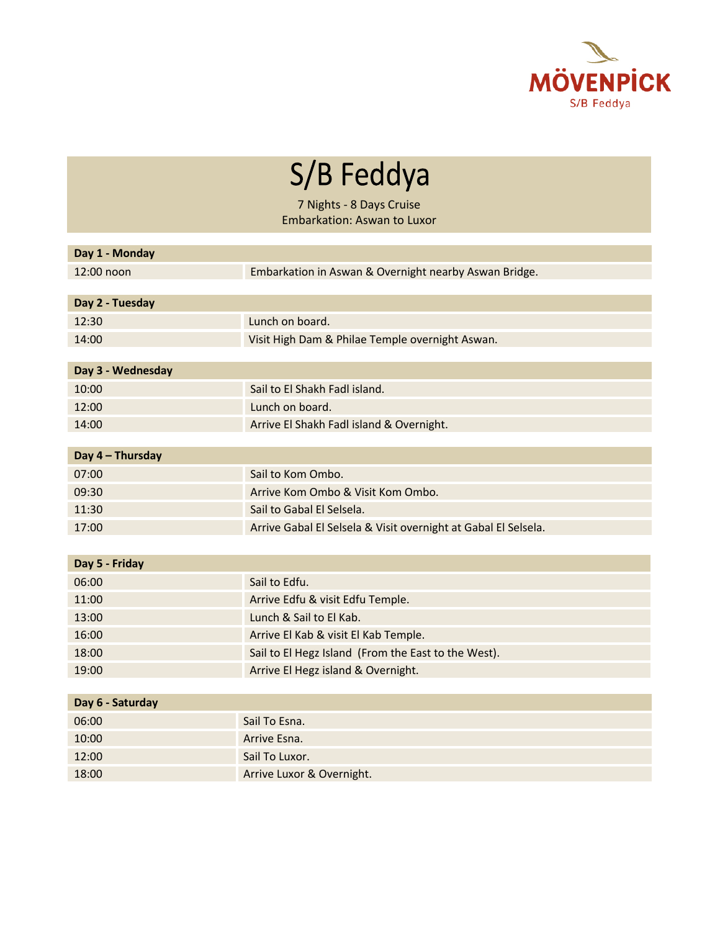

S/B Feddya

7 Nights - 8 Days Cruise Embarkation: Aswan to Luxor

| Day 1 - Monday    |                                                                |  |
|-------------------|----------------------------------------------------------------|--|
| 12:00 noon        | Embarkation in Aswan & Overnight nearby Aswan Bridge.          |  |
|                   |                                                                |  |
| Day 2 - Tuesday   |                                                                |  |
| 12:30             | Lunch on board.                                                |  |
| 14:00             | Visit High Dam & Philae Temple overnight Aswan.                |  |
|                   |                                                                |  |
| Day 3 - Wednesday |                                                                |  |
| 10:00             | Sail to El Shakh Fadl island.                                  |  |
| 12:00             | Lunch on board.                                                |  |
| 14:00             | Arrive El Shakh Fadl island & Overnight.                       |  |
|                   |                                                                |  |
| Day 4 - Thursday  |                                                                |  |
| 07:00             | Sail to Kom Ombo.                                              |  |
| 09:30             | Arrive Kom Ombo & Visit Kom Ombo.                              |  |
| 11:30             | Sail to Gabal El Selsela.                                      |  |
| 17:00             | Arrive Gabal El Selsela & Visit overnight at Gabal El Selsela. |  |
|                   |                                                                |  |
| Day 5 - Friday    |                                                                |  |
| 06:00             | Sail to Edfu.                                                  |  |
| 11:00             | Arrive Edfu & visit Edfu Temple.                               |  |
| 13:00             | Lunch & Sail to El Kab.                                        |  |
| 16:00             | Arrive El Kab & visit El Kab Temple.                           |  |
| 18:00             | Sail to El Hegz Island (From the East to the West).            |  |
| 19:00             | Arrive El Hegz island & Overnight.                             |  |
|                   |                                                                |  |
| Day 6 - Saturday  |                                                                |  |
| 06:00             | Sail To Esna.                                                  |  |
| 10:00             | Arrive Esna.                                                   |  |
| 12:00             | Sail To Luxor.                                                 |  |
| 18:00             | Arrive Luxor & Overnight.                                      |  |